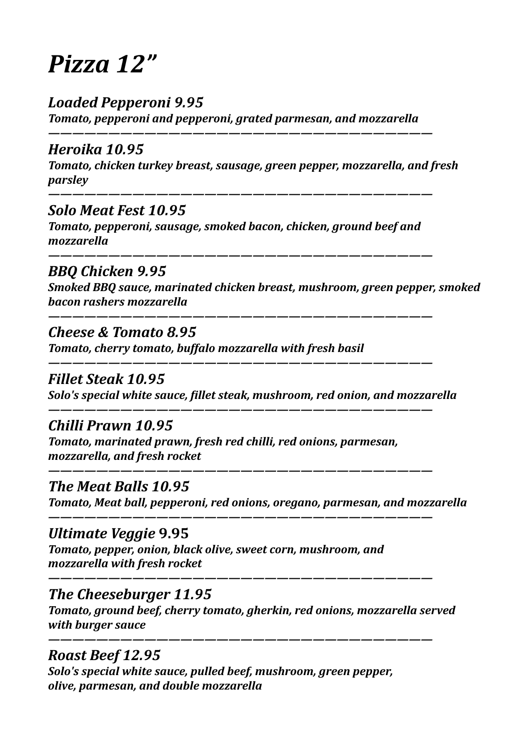# *Pizza 12"*

# *Loaded Pepperoni 9.95*

**Tomato, pepperoni and pepperoni, grated parmesan, and mozzarella** 

*————————————————————————————————*

## *Heroika 10.95*

*Tomato, chicken turkey breast, sausage, green pepper, mozzarella, and fresh parsley* 

*———————————————————————————————— Solo Meat Fest 10.95*

**Tomato, pepperoni, sausage, smoked bacon, chicken, ground beef and** *mozzarella* 

*————————————————————————————————* 

#### *BBQ Chicken 9.95*

*Smoked BBQ sauce, marinated chicken breast, mushroom, green pepper, smoked bacon rashers mozzarella* 

*————————————————————————————————* 

*————————————————————————————————*

*————————————————————————————————*

*————————————————————————————————*

*————————————————————————————————*

*————————————————————————————————* 

*————————————————————————————————* 

#### *Cheese & Tomato 8.95*

**Tomato, cherry tomato, buffalo mozzarella with fresh basil** 

#### *Fillet Steak 10.95*

*Solo's special white sauce, fillet steak, mushroom, red onion, and mozzarella* 

# *Chilli Prawn 10.95*

**Tomato, marinated prawn, fresh red chilli, red onions, parmesan,** *mozzarella, and fresh rocket* 

#### *The Meat Balls 10.95*

*Tomato, Meat ball, pepperoni, red onions, oregano, parmesan, and mozzarella* 

#### *Ultimate Veggie* **9.95**

*Tomato, pepper, onion, black olive, sweet corn, mushroom, and mozzarella with fresh rocket* 

#### **The Cheeseburger 11.95**

*Tomato, ground beef, cherry tomato, gherkin, red onions, mozzarella served with burger sauce* 

#### *Roast Beef 12.95*

*Solo's special white sauce, pulled beef, mushroom, green pepper, olive, parmesan, and double mozzarella*